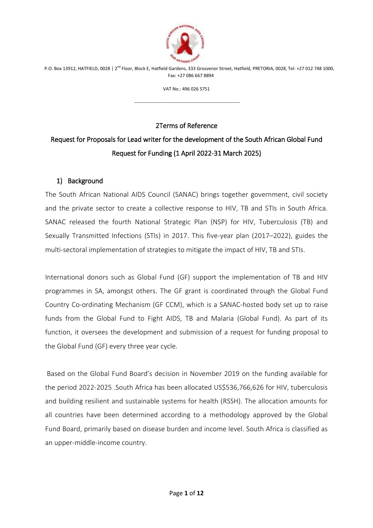

VAT No.: 496 026 5751

---------------------------------------------------------------------

# 2Terms of Reference

# Request for Proposals for Lead writer for the development of the South African Global Fund Request for Funding (1 April 2022-31 March 2025)

#### 1) Background

The South African National AIDS Council (SANAC) brings together government, civil society and the private sector to create a collective response to HIV, TB and STIs in South Africa. SANAC released the fourth National Strategic Plan (NSP) for HIV, Tuberculosis (TB) and Sexually Transmitted Infections (STIs) in 2017. This five-year plan (2017–2022), guides the multi-sectoral implementation of strategies to mitigate the impact of HIV, TB and STIs.

International donors such as Global Fund (GF) support the implementation of TB and HIV programmes in SA, amongst others. The GF grant is coordinated through the Global Fund Country Co-ordinating Mechanism (GF CCM), which is a SANAC-hosted body set up to raise funds from the Global Fund to Fight AIDS, TB and Malaria (Global Fund). As part of its function, it oversees the development and submission of a request for funding proposal to the Global Fund (GF) every three year cycle.

Based on the Global Fund Board's decision in November 2019 on the funding available for the period 2022-2025 .South Africa has been allocated US\$536,766,626 for HIV, tuberculosis and building resilient and sustainable systems for health (RSSH). The allocation amounts for all countries have been determined according to a methodology approved by the Global Fund Board, primarily based on disease burden and income level. South Africa is classified as an upper-middle-income country.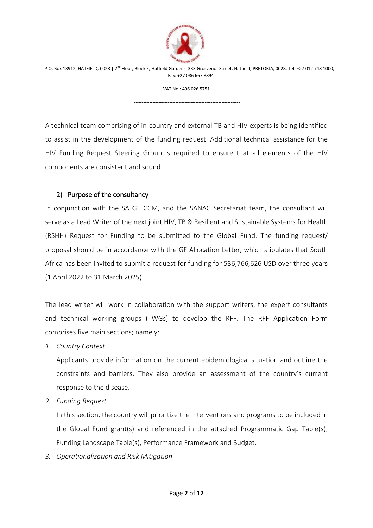

VAT No.: 496 026 5751

---------------------------------------------------------------------

A technical team comprising of in-country and external TB and HIV experts is being identified to assist in the development of the funding request. Additional technical assistance for the HIV Funding Request Steering Group is required to ensure that all elements of the HIV components are consistent and sound.

#### 2) Purpose of the consultancy

In conjunction with the SA GF CCM, and the SANAC Secretariat team, the consultant will serve as a Lead Writer of the next joint HIV, TB & Resilient and Sustainable Systems for Health (RSHH) Request for Funding to be submitted to the Global Fund. The funding request/ proposal should be in accordance with the GF Allocation Letter, which stipulates that South Africa has been invited to submit a request for funding for 536,766,626 USD over three years (1 April 2022 to 31 March 2025).

The lead writer will work in collaboration with the support writers, the expert consultants and technical working groups (TWGs) to develop the RFF. The RFF Application Form comprises five main sections; namely:

*1. Country Context* 

Applicants provide information on the current epidemiological situation and outline the constraints and barriers. They also provide an assessment of the country's current response to the disease.

*2. Funding Request* 

In this section, the country will prioritize the interventions and programs to be included in the Global Fund grant(s) and referenced in the attached Programmatic Gap Table(s), Funding Landscape Table(s), Performance Framework and Budget.

*3. Operationalization and Risk Mitigation*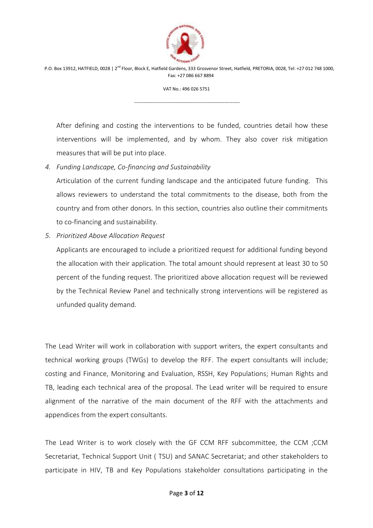

VAT No.: 496 026 5751

---------------------------------------------------------------------

After defining and costing the interventions to be funded, countries detail how these interventions will be implemented, and by whom. They also cover risk mitigation measures that will be put into place.

*4. Funding Landscape, Co-financing and Sustainability* 

Articulation of the current funding landscape and the anticipated future funding. This allows reviewers to understand the total commitments to the disease, both from the country and from other donors. In this section, countries also outline their commitments to co-financing and sustainability.

*5. Prioritized Above Allocation Request* 

Applicants are encouraged to include a prioritized request for additional funding beyond the allocation with their application. The total amount should represent at least 30 to 50 percent of the funding request. The prioritized above allocation request will be reviewed by the Technical Review Panel and technically strong interventions will be registered as unfunded quality demand.

The Lead Writer will work in collaboration with support writers, the expert consultants and technical working groups (TWGs) to develop the RFF. The expert consultants will include; costing and Finance, Monitoring and Evaluation, RSSH, Key Populations; Human Rights and TB, leading each technical area of the proposal. The Lead writer will be required to ensure alignment of the narrative of the main document of the RFF with the attachments and appendices from the expert consultants.

The Lead Writer is to work closely with the GF CCM RFF subcommittee, the CCM ;CCM Secretariat, Technical Support Unit ( TSU) and SANAC Secretariat; and other stakeholders to participate in HIV, TB and Key Populations stakeholder consultations participating in the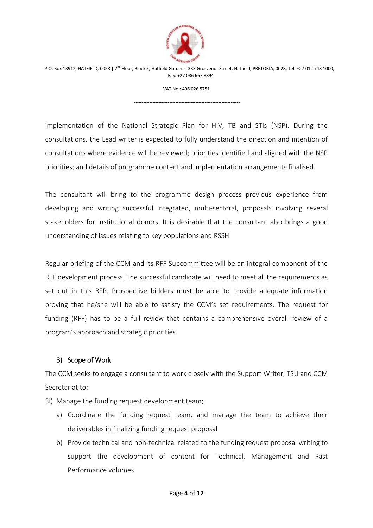

VAT No.: 496 026 5751

---------------------------------------------------------------------

implementation of the National Strategic Plan for HIV, TB and STIs (NSP). During the consultations, the Lead writer is expected to fully understand the direction and intention of consultations where evidence will be reviewed; priorities identified and aligned with the NSP priorities; and details of programme content and implementation arrangements finalised.

The consultant will bring to the programme design process previous experience from developing and writing successful integrated, multi-sectoral, proposals involving several stakeholders for institutional donors. It is desirable that the consultant also brings a good understanding of issues relating to key populations and RSSH.

Regular briefing of the CCM and its RFF Subcommittee will be an integral component of the RFF development process. The successful candidate will need to meet all the requirements as set out in this RFP. Prospective bidders must be able to provide adequate information proving that he/she will be able to satisfy the CCM's set requirements. The request for funding (RFF) has to be a full review that contains a comprehensive overall review of a program's approach and strategic priorities.

#### 3) Scope of Work

The CCM seeks to engage a consultant to work closely with the Support Writer; TSU and CCM Secretariat to:

3i) Manage the funding request development team;

- a) Coordinate the funding request team, and manage the team to achieve their deliverables in finalizing funding request proposal
- b) Provide technical and non-technical related to the funding request proposal writing to support the development of content for Technical, Management and Past Performance volumes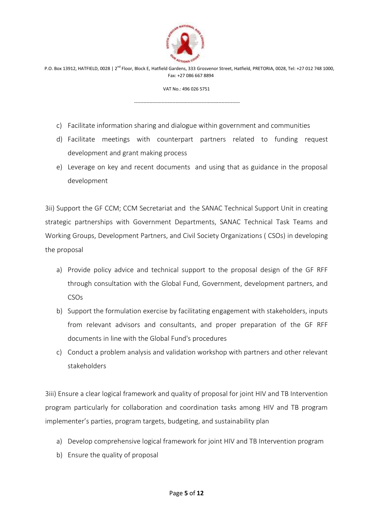

VAT No.: 496 026 5751

---------------------------------------------------------------------

- c) Facilitate information sharing and dialogue within government and communities
- d) Facilitate meetings with counterpart partners related to funding request development and grant making process
- e) Leverage on key and recent documents and using that as guidance in the proposal development

3ii) Support the GF CCM; CCM Secretariat and the SANAC Technical Support Unit in creating strategic partnerships with Government Departments, SANAC Technical Task Teams and Working Groups, Development Partners, and Civil Society Organizations ( CSOs) in developing the proposal

- a) Provide policy advice and technical support to the proposal design of the GF RFF through consultation with the Global Fund, Government, development partners, and CSOs
- b) Support the formulation exercise by facilitating engagement with stakeholders, inputs from relevant advisors and consultants, and proper preparation of the GF RFF documents in line with the Global Fund's procedures
- c) Conduct a problem analysis and validation workshop with partners and other relevant stakeholders

3iii) Ensure a clear logical framework and quality of proposal for joint HIV and TB Intervention program particularly for collaboration and coordination tasks among HIV and TB program implementer's parties, program targets, budgeting, and sustainability plan

- a) Develop comprehensive logical framework for joint HIV and TB Intervention program
- b) Ensure the quality of proposal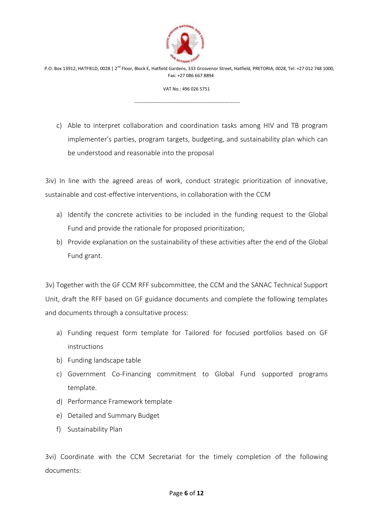

VAT No.: 496 026 5751

---------------------------------------------------------------------

c) Able to interpret collaboration and coordination tasks among HIV and TB program implementer's parties, program targets, budgeting, and sustainability plan which can be understood and reasonable into the proposal

3iv) In line with the agreed areas of work, conduct strategic prioritization of innovative, sustainable and cost-effective interventions, in collaboration with the CCM

- a) Identify the concrete activities to be included in the funding request to the Global Fund and provide the rationale for proposed prioritization;
- b) Provide explanation on the sustainability of these activities after the end of the Global Fund grant.

3v) Together with the GF CCM RFF subcommittee, the CCM and the SANAC Technical Support Unit, draft the RFF based on GF guidance documents and complete the following templates and documents through a consultative process:

- a) Funding request form template for Tailored for focused portfolios based on GF instructions
- b) Funding landscape table
- c) Government Co-Financing commitment to Global Fund supported programs template.
- d) Performance Framework template
- e) Detailed and Summary Budget
- f) Sustainability Plan

3vi) Coordinate with the CCM Secretariat for the timely completion of the following documents: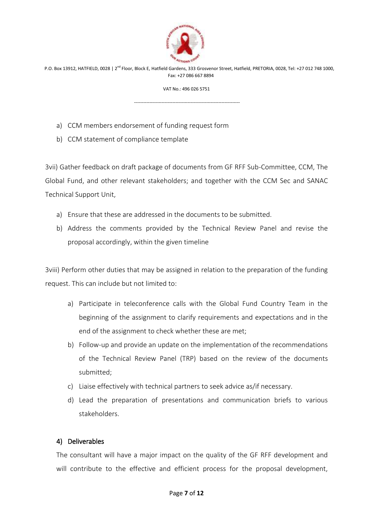

VAT No.: 496 026 5751

---------------------------------------------------------------------

- a) CCM members endorsement of funding request form
- b) CCM statement of compliance template

3vii) Gather feedback on draft package of documents from GF RFF Sub-Committee, CCM, The Global Fund, and other relevant stakeholders; and together with the CCM Sec and SANAC Technical Support Unit,

- a) Ensure that these are addressed in the documents to be submitted.
- b) Address the comments provided by the Technical Review Panel and revise the proposal accordingly, within the given timeline

3viii) Perform other duties that may be assigned in relation to the preparation of the funding request. This can include but not limited to:

- a) Participate in teleconference calls with the Global Fund Country Team in the beginning of the assignment to clarify requirements and expectations and in the end of the assignment to check whether these are met;
- b) Follow-up and provide an update on the implementation of the recommendations of the Technical Review Panel (TRP) based on the review of the documents submitted;
- c) Liaise effectively with technical partners to seek advice as/if necessary.
- d) Lead the preparation of presentations and communication briefs to various stakeholders.

#### 4) Deliverables

The consultant will have a major impact on the quality of the GF RFF development and will contribute to the effective and efficient process for the proposal development,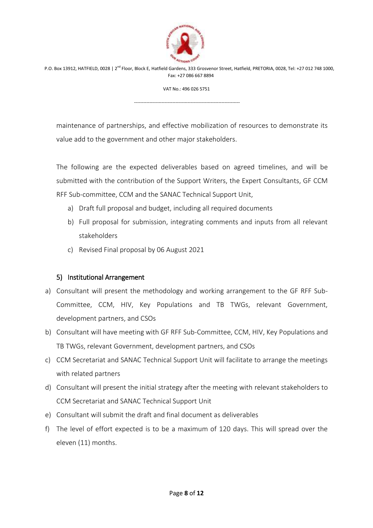

VAT No.: 496 026 5751

---------------------------------------------------------------------

maintenance of partnerships, and effective mobilization of resources to demonstrate its value add to the government and other major stakeholders.

The following are the expected deliverables based on agreed timelines, and will be submitted with the contribution of the Support Writers, the Expert Consultants, GF CCM RFF Sub-committee, CCM and the SANAC Technical Support Unit,

- a) Draft full proposal and budget, including all required documents
- b) Full proposal for submission, integrating comments and inputs from all relevant stakeholders
- c) Revised Final proposal by 06 August 2021

# 5) Institutional Arrangement

- a) Consultant will present the methodology and working arrangement to the GF RFF Sub-Committee, CCM, HIV, Key Populations and TB TWGs, relevant Government, development partners, and CSOs
- b) Consultant will have meeting with GF RFF Sub-Committee, CCM, HIV, Key Populations and TB TWGs, relevant Government, development partners, and CSOs
- c) CCM Secretariat and SANAC Technical Support Unit will facilitate to arrange the meetings with related partners
- d) Consultant will present the initial strategy after the meeting with relevant stakeholders to CCM Secretariat and SANAC Technical Support Unit
- e) Consultant will submit the draft and final document as deliverables
- f) The level of effort expected is to be a maximum of 120 days. This will spread over the eleven (11) months.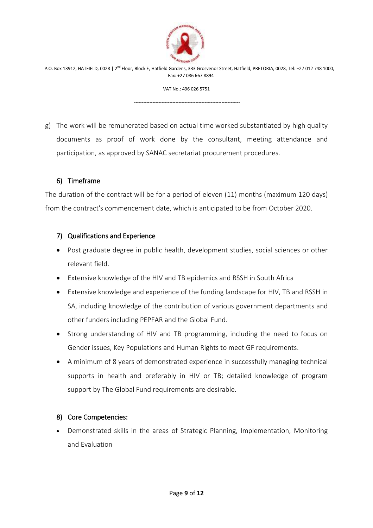

VAT No.: 496 026 5751

---------------------------------------------------------------------

g) The work will be remunerated based on actual time worked substantiated by high quality documents as proof of work done by the consultant, meeting attendance and participation, as approved by SANAC secretariat procurement procedures.

# 6) Timeframe

The duration of the contract will be for a period of eleven (11) months (maximum 120 days) from the contract's commencement date, which is anticipated to be from October 2020.

# 7) Qualifications and Experience

- Post graduate degree in public health, development studies, social sciences or other relevant field.
- Extensive knowledge of the HIV and TB epidemics and RSSH in South Africa
- Extensive knowledge and experience of the funding landscape for HIV, TB and RSSH in SA, including knowledge of the contribution of various government departments and other funders including PEPFAR and the Global Fund.
- Strong understanding of HIV and TB programming, including the need to focus on Gender issues, Key Populations and Human Rights to meet GF requirements.
- A minimum of 8 years of demonstrated experience in successfully managing technical supports in health and preferably in HIV or TB; detailed knowledge of program support by The Global Fund requirements are desirable.

# 8) Core Competencies:

 Demonstrated skills in the areas of Strategic Planning, Implementation, Monitoring and Evaluation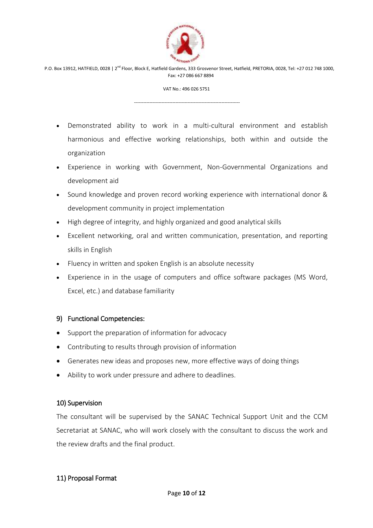

#### VAT No.: 496 026 5751

---------------------------------------------------------------------

 Demonstrated ability to work in a multi-cultural environment and establish harmonious and effective working relationships, both within and outside the organization

- Experience in working with Government, Non-Governmental Organizations and development aid
- Sound knowledge and proven record working experience with international donor & development community in project implementation
- High degree of integrity, and highly organized and good analytical skills
- Excellent networking, oral and written communication, presentation, and reporting skills in English
- Fluency in written and spoken English is an absolute necessity
- Experience in in the usage of computers and office software packages (MS Word, Excel, etc.) and database familiarity

#### 9) Functional Competencies:

- Support the preparation of information for advocacy
- Contributing to results through provision of information
- Generates new ideas and proposes new, more effective ways of doing things
- Ability to work under pressure and adhere to deadlines.

# 10) Supervision

The consultant will be supervised by the SANAC Technical Support Unit and the CCM Secretariat at SANAC, who will work closely with the consultant to discuss the work and the review drafts and the final product.

# 11) Proposal Format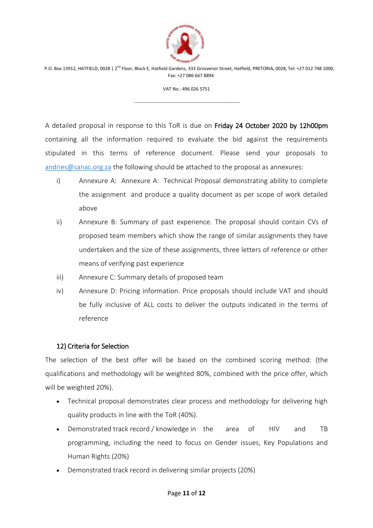

VAT No.: 496 026 5751

---------------------------------------------------------------------

A detailed proposal in response to this ToR is due on Friday 24 October 2020 by 12h00pm containing all the information required to evaluate the bid against the requirements stipulated in this terms of reference document. Please send your proposals to [andries@sanac.org.za](mailto:andries@sanac.org.za) the following should be attached to the proposal as annexures:

- i) Annexure A: Annexure A: Technical Proposal demonstrating ability to complete the assignment and produce a quality document as per scope of work detailed above
- ii) Annexure B: Summary of past experience. The proposal should contain CVs of proposed team members which show the range of similar assignments they have undertaken and the size of these assignments, three letters of reference or other means of verifying past experience
- iii) Annexure C: Summary details of proposed team
- iv) Annexure D: Pricing information. Price proposals should include VAT and should be fully inclusive of ALL costs to deliver the outputs indicated in the terms of reference

# 12) Criteria for Selection

The selection of the best offer will be based on the combined scoring method: (the qualifications and methodology will be weighted 80%, combined with the price offer, which will be weighted 20%).

- Technical proposal demonstrates clear process and methodology for delivering high quality products in line with the ToR (40%).
- Demonstrated track record / knowledge in the area of HIV and TB programming, including the need to focus on Gender issues, Key Populations and Human Rights (20%)
- Demonstrated track record in delivering similar projects (20%)